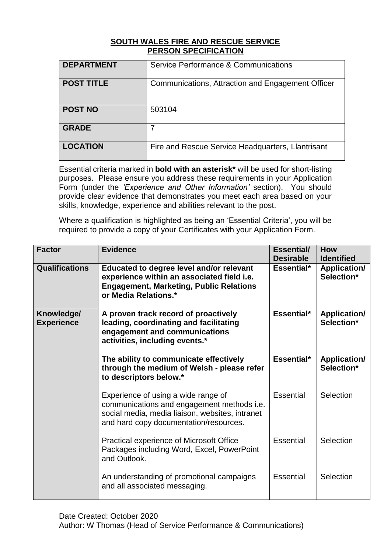## **SOUTH WALES FIRE AND RESCUE SERVICE PERSON SPECIFICATION**

| <b>DEPARTMENT</b> | Service Performance & Communications              |
|-------------------|---------------------------------------------------|
| <b>POST TITLE</b> | Communications, Attraction and Engagement Officer |
| <b>POST NO</b>    | 503104                                            |
| <b>GRADE</b>      | 7                                                 |
| <b>LOCATION</b>   | Fire and Rescue Service Headquarters, Llantrisant |

Essential criteria marked in **bold with an asterisk\*** will be used for short-listing purposes. Please ensure you address these requirements in your Application Form (under the *'Experience and Other Information'* section). You should provide clear evidence that demonstrates you meet each area based on your skills, knowledge, experience and abilities relevant to the post.

Where a qualification is highlighted as being an 'Essential Criteria', you will be required to provide a copy of your Certificates with your Application Form.

| <b>Factor</b>                   | <b>Evidence</b>                                                                                                                                                                | <b>Essential/</b><br><b>Desirable</b> | <b>How</b><br><b>Identified</b>   |
|---------------------------------|--------------------------------------------------------------------------------------------------------------------------------------------------------------------------------|---------------------------------------|-----------------------------------|
| <b>Qualifications</b>           | Educated to degree level and/or relevant<br>experience within an associated field i.e.<br><b>Engagement, Marketing, Public Relations</b><br>or Media Relations.*               | Essential*                            | Application/<br>Selection*        |
| Knowledge/<br><b>Experience</b> | A proven track record of proactively<br>leading, coordinating and facilitating<br>engagement and communications<br>activities, including events.*                              | Essential*                            | <b>Application/</b><br>Selection* |
|                                 | The ability to communicate effectively<br>through the medium of Welsh - please refer<br>to descriptors below.*                                                                 | Essential*                            | <b>Application/</b><br>Selection* |
|                                 | Experience of using a wide range of<br>communications and engagement methods i.e.<br>social media, media liaison, websites, intranet<br>and hard copy documentation/resources. | Essential                             | Selection                         |
|                                 | Practical experience of Microsoft Office<br>Packages including Word, Excel, PowerPoint<br>and Outlook.                                                                         | Essential                             | Selection                         |
|                                 | An understanding of promotional campaigns<br>and all associated messaging.                                                                                                     | <b>Essential</b>                      | Selection                         |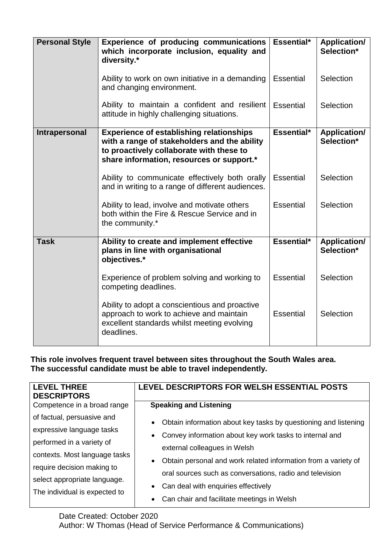| <b>Personal Style</b> | Experience of producing communications<br>which incorporate inclusion, equality and<br>diversity.*                                                                                       | Essential*       | <b>Application/</b><br>Selection* |
|-----------------------|------------------------------------------------------------------------------------------------------------------------------------------------------------------------------------------|------------------|-----------------------------------|
|                       | Ability to work on own initiative in a demanding<br>and changing environment.                                                                                                            | <b>Essential</b> | Selection                         |
|                       | Ability to maintain a confident and resilient<br>attitude in highly challenging situations.                                                                                              | Essential        | Selection                         |
| <b>Intrapersonal</b>  | <b>Experience of establishing relationships</b><br>with a range of stakeholders and the ability<br>to proactively collaborate with these to<br>share information, resources or support.* | Essential*       | <b>Application/</b><br>Selection* |
|                       | Ability to communicate effectively both orally<br>and in writing to a range of different audiences.                                                                                      | Essential        | Selection                         |
|                       | Ability to lead, involve and motivate others<br>both within the Fire & Rescue Service and in<br>the community.*                                                                          | <b>Essential</b> | Selection                         |
| <b>Task</b>           | Ability to create and implement effective<br>plans in line with organisational<br>objectives.*                                                                                           | Essential*       | <b>Application/</b><br>Selection* |
|                       | Experience of problem solving and working to<br>competing deadlines.                                                                                                                     | <b>Essential</b> | Selection                         |
|                       | Ability to adopt a conscientious and proactive<br>approach to work to achieve and maintain<br>excellent standards whilst meeting evolving<br>deadlines.                                  | <b>Essential</b> | Selection                         |

**This role involves frequent travel between sites throughout the South Wales area. The successful candidate must be able to travel independently.**

| <b>LEVEL THREE</b><br><b>DESCRIPTORS</b> | LEVEL DESCRIPTORS FOR WELSH ESSENTIAL POSTS                                  |
|------------------------------------------|------------------------------------------------------------------------------|
| Competence in a broad range              | <b>Speaking and Listening</b>                                                |
| of factual, persuasive and               | Obtain information about key tasks by questioning and listening<br>$\bullet$ |
| expressive language tasks                | Convey information about key work tasks to internal and                      |
| performed in a variety of                | external colleagues in Welsh                                                 |
| contexts. Most language tasks            | Obtain personal and work related information from a variety of               |
| require decision making to               |                                                                              |
| select appropriate language.             | oral sources such as conversations, radio and television                     |
| The individual is expected to            | Can deal with enquiries effectively                                          |
|                                          | Can chair and facilitate meetings in Welsh<br>$\bullet$                      |